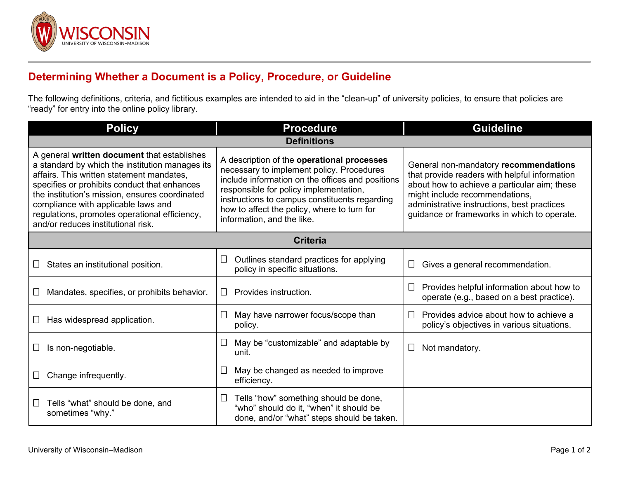

## **Determining Whether a Document is a Policy, Procedure, or Guideline**

The following definitions, criteria, and fictitious examples are intended to aid in the "clean-up" of university policies, to ensure that policies are "ready" for entry into the online policy library.

| <b>Policy</b>                                                                                                                                                                                                                                                                                                                                                               | <b>Procedure</b>                                                                                                                                                                                                                                                                                                    | <b>Guideline</b>                                                                                                                                                                                                                                                       |  |
|-----------------------------------------------------------------------------------------------------------------------------------------------------------------------------------------------------------------------------------------------------------------------------------------------------------------------------------------------------------------------------|---------------------------------------------------------------------------------------------------------------------------------------------------------------------------------------------------------------------------------------------------------------------------------------------------------------------|------------------------------------------------------------------------------------------------------------------------------------------------------------------------------------------------------------------------------------------------------------------------|--|
| <b>Definitions</b>                                                                                                                                                                                                                                                                                                                                                          |                                                                                                                                                                                                                                                                                                                     |                                                                                                                                                                                                                                                                        |  |
| A general written document that establishes<br>a standard by which the institution manages its<br>affairs. This written statement mandates,<br>specifies or prohibits conduct that enhances<br>the institution's mission, ensures coordinated<br>compliance with applicable laws and<br>regulations, promotes operational efficiency,<br>and/or reduces institutional risk. | A description of the operational processes<br>necessary to implement policy. Procedures<br>include information on the offices and positions<br>responsible for policy implementation,<br>instructions to campus constituents regarding<br>how to affect the policy, where to turn for<br>information, and the like. | General non-mandatory recommendations<br>that provide readers with helpful information<br>about how to achieve a particular aim; these<br>might include recommendations,<br>administrative instructions, best practices<br>guidance or frameworks in which to operate. |  |
| <b>Criteria</b>                                                                                                                                                                                                                                                                                                                                                             |                                                                                                                                                                                                                                                                                                                     |                                                                                                                                                                                                                                                                        |  |
| States an institutional position.                                                                                                                                                                                                                                                                                                                                           | Outlines standard practices for applying<br>⊔<br>policy in specific situations.                                                                                                                                                                                                                                     | Gives a general recommendation.                                                                                                                                                                                                                                        |  |
| Mandates, specifies, or prohibits behavior.                                                                                                                                                                                                                                                                                                                                 | Provides instruction.<br>$\perp$                                                                                                                                                                                                                                                                                    | Provides helpful information about how to<br>operate (e.g., based on a best practice).                                                                                                                                                                                 |  |
| Has widespread application.                                                                                                                                                                                                                                                                                                                                                 | May have narrower focus/scope than<br>$\Box$<br>policy.                                                                                                                                                                                                                                                             | Provides advice about how to achieve a<br>policy's objectives in various situations.                                                                                                                                                                                   |  |
| Is non-negotiable.                                                                                                                                                                                                                                                                                                                                                          | May be "customizable" and adaptable by<br>$\Box$<br>unit.                                                                                                                                                                                                                                                           | Not mandatory.                                                                                                                                                                                                                                                         |  |
| Change infrequently.                                                                                                                                                                                                                                                                                                                                                        | May be changed as needed to improve<br>$\vert \ \vert$<br>efficiency.                                                                                                                                                                                                                                               |                                                                                                                                                                                                                                                                        |  |
| Tells "what" should be done, and<br>⊔<br>sometimes "why."                                                                                                                                                                                                                                                                                                                   | Tells "how" something should be done,<br>⊔<br>"who" should do it, "when" it should be<br>done, and/or "what" steps should be taken.                                                                                                                                                                                 |                                                                                                                                                                                                                                                                        |  |